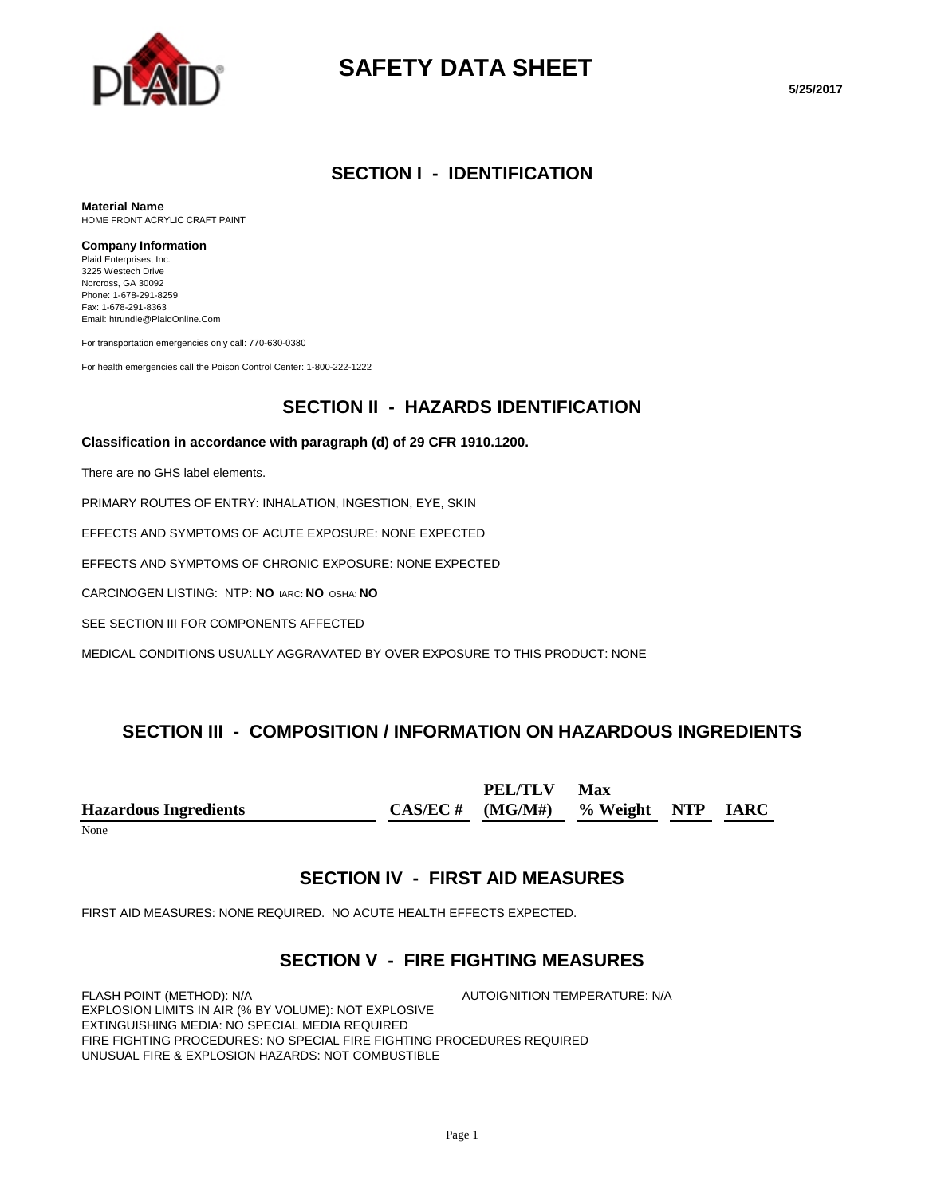

# **SAFETY DATA SHEET**

**5/25/2017**

#### **SECTION I - IDENTIFICATION**

**Material Name** HOME FRONT ACRYLIC CRAFT PAINT

#### **Company Information**

Plaid Enterprises, Inc. 3225 Westech Drive Norcross, GA 30092 Phone: 1-678-291-8259 Fax: 1-678-291-8363 Email: htrundle@PlaidOnline.Com

For transportation emergencies only call: 770-630-0380

For health emergencies call the Poison Control Center: 1-800-222-1222

### **SECTION II - HAZARDS IDENTIFICATION**

#### **Classification in accordance with paragraph (d) of 29 CFR 1910.1200.**

There are no GHS label elements.

PRIMARY ROUTES OF ENTRY: INHALATION, INGESTION, EYE, SKIN

EFFECTS AND SYMPTOMS OF ACUTE EXPOSURE: NONE EXPECTED

EFFECTS AND SYMPTOMS OF CHRONIC EXPOSURE: NONE EXPECTED

CARCINOGEN LISTING: NTP: **NO** IARC: **NO** OSHA: **NO**

SEE SECTION III FOR COMPONENTS AFFECTED

MEDICAL CONDITIONS USUALLY AGGRAVATED BY OVER EXPOSURE TO THIS PRODUCT: NONE

### **SECTION III - COMPOSITION / INFORMATION ON HAZARDOUS INGREDIENTS**

**Hazardous Ingredients CAS/EC # PEL/TLV (MG/M#) Max % Weight NTP IARC**

None

### **SECTION IV - FIRST AID MEASURES**

FIRST AID MEASURES: NONE REQUIRED. NO ACUTE HEALTH EFFECTS EXPECTED.

### **SECTION V - FIRE FIGHTING MEASURES**

FLASH POINT (METHOD): N/A  $\overline{A}$  autoignition temperature: N/A EXPLOSION LIMITS IN AIR (% BY VOLUME): NOT EXPLOSIVE EXTINGUISHING MEDIA: NO SPECIAL MEDIA REQUIRED FIRE FIGHTING PROCEDURES: NO SPECIAL FIRE FIGHTING PROCEDURES REQUIRED UNUSUAL FIRE & EXPLOSION HAZARDS: NOT COMBUSTIBLE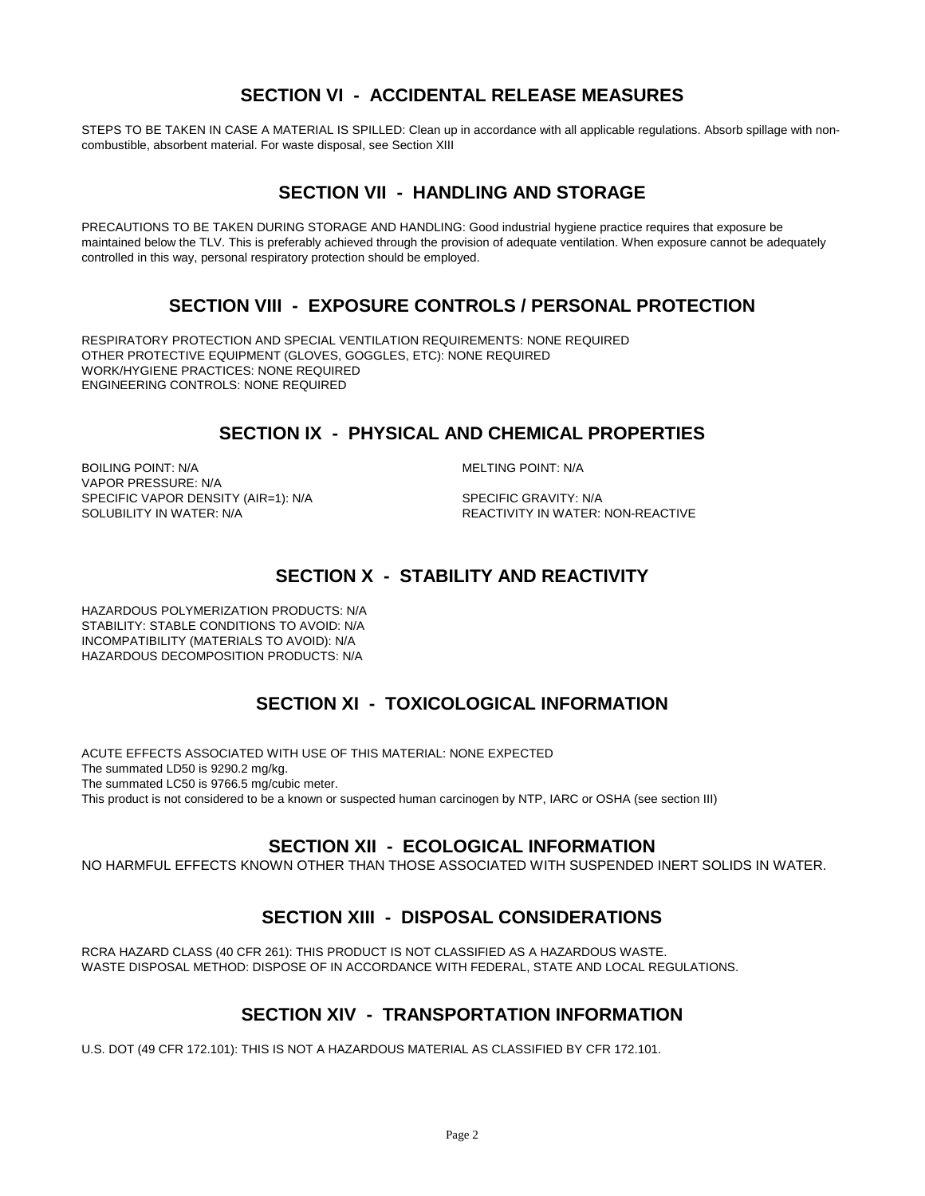### **SECTION VI - ACCIDENTAL RELEASE MEASURES**

STEPS TO BE TAKEN IN CASE A MATERIAL IS SPILLED: Clean up in accordance with all applicable regulations. Absorb spillage with noncombustible, absorbent material. For waste disposal, see Section XIII

### **SECTION VII - HANDLING AND STORAGE**

PRECAUTIONS TO BE TAKEN DURING STORAGE AND HANDLING: Good industrial hygiene practice requires that exposure be maintained below the TLV. This is preferably achieved through the provision of adequate ventilation. When exposure cannot be adequately controlled in this way, personal respiratory protection should be employed.

### **SECTION VIII - EXPOSURE CONTROLS / PERSONAL PROTECTION**

RESPIRATORY PROTECTION AND SPECIAL VENTILATION REQUIREMENTS: NONE REQUIRED OTHER PROTECTIVE EQUIPMENT (GLOVES, GOGGLES, ETC): NONE REQUIRED WORK/HYGIENE PRACTICES: NONE REQUIRED ENGINEERING CONTROLS: NONE REQUIRED

### **SECTION IX - PHYSICAL AND CHEMICAL PROPERTIES**

BOILING POINT: N/A **MELTING POINT: N/A** VAPOR PRESSURE: N/A SPECIFIC VAPOR DENSITY (AIR=1): N/A SPECIFIC GRAVITY: N/A SOLUBILITY IN WATER:  $\overline{S}$ 

REACTIVITY IN WATER: NON-REACTIVE

# **SECTION X - STABILITY AND REACTIVITY**

HAZARDOUS POLYMERIZATION PRODUCTS: N/A STABILITY: STABLE CONDITIONS TO AVOID: N/A INCOMPATIBILITY (MATERIALS TO AVOID): N/A HAZARDOUS DECOMPOSITION PRODUCTS: N/A

# **SECTION XI - TOXICOLOGICAL INFORMATION**

ACUTE EFFECTS ASSOCIATED WITH USE OF THIS MATERIAL: NONE EXPECTED The summated LD50 is 9290.2 mg/kg. The summated LC50 is 9766.5 mg/cubic meter. This product is not considered to be a known or suspected human carcinogen by NTP, IARC or OSHA (see section III)

### **SECTION XII - ECOLOGICAL INFORMATION**

NO HARMFUL EFFECTS KNOWN OTHER THAN THOSE ASSOCIATED WITH SUSPENDED INERT SOLIDS IN WATER.

# **SECTION XIII - DISPOSAL CONSIDERATIONS**

RCRA HAZARD CLASS (40 CFR 261): THIS PRODUCT IS NOT CLASSIFIED AS A HAZARDOUS WASTE. WASTE DISPOSAL METHOD: DISPOSE OF IN ACCORDANCE WITH FEDERAL, STATE AND LOCAL REGULATIONS.

# **SECTION XIV - TRANSPORTATION INFORMATION**

U.S. DOT (49 CFR 172.101): THIS IS NOT A HAZARDOUS MATERIAL AS CLASSIFIED BY CFR 172.101.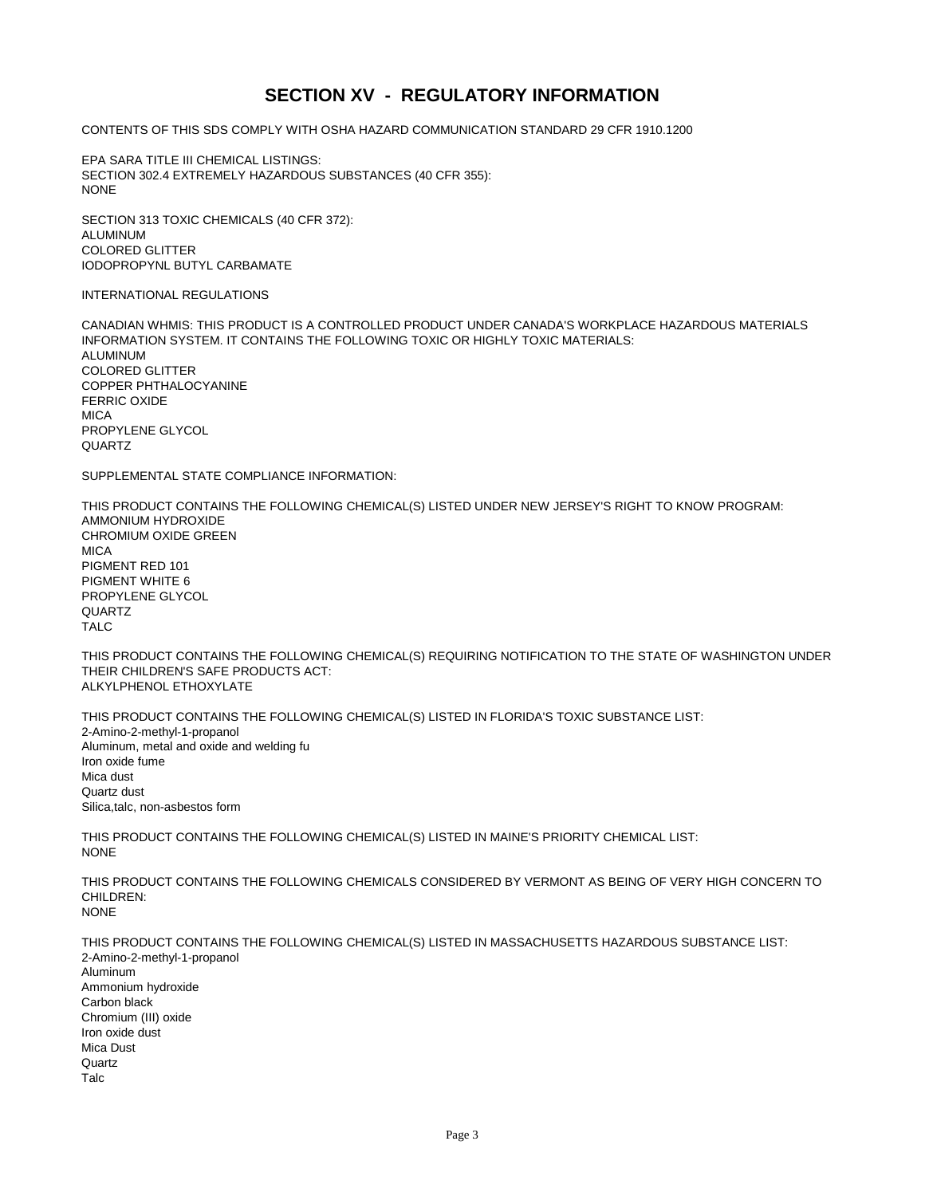### **SECTION XV - REGULATORY INFORMATION**

CONTENTS OF THIS SDS COMPLY WITH OSHA HAZARD COMMUNICATION STANDARD 29 CFR 1910.1200

EPA SARA TITLE III CHEMICAL LISTINGS: SECTION 302.4 EXTREMELY HAZARDOUS SUBSTANCES (40 CFR 355): NONE

SECTION 313 TOXIC CHEMICALS (40 CFR 372): ALUMINUM COLORED GLITTER IODOPROPYNL BUTYL CARBAMATE

#### INTERNATIONAL REGULATIONS

CANADIAN WHMIS: THIS PRODUCT IS A CONTROLLED PRODUCT UNDER CANADA'S WORKPLACE HAZARDOUS MATERIALS INFORMATION SYSTEM. IT CONTAINS THE FOLLOWING TOXIC OR HIGHLY TOXIC MATERIALS: ALUMINUM COLORED GLITTER COPPER PHTHALOCYANINE FERRIC OXIDE **MICA** PROPYLENE GLYCOL QUARTZ

SUPPLEMENTAL STATE COMPLIANCE INFORMATION:

THIS PRODUCT CONTAINS THE FOLLOWING CHEMICAL(S) LISTED UNDER NEW JERSEY'S RIGHT TO KNOW PROGRAM: AMMONIUM HYDROXIDE CHROMIUM OXIDE GREEN **MICA** PIGMENT RED 101 PIGMENT WHITE 6 PROPYLENE GLYCOL QUARTZ TALC

THIS PRODUCT CONTAINS THE FOLLOWING CHEMICAL(S) REQUIRING NOTIFICATION TO THE STATE OF WASHINGTON UNDER THEIR CHILDREN'S SAFE PRODUCTS ACT: ALKYLPHENOL ETHOXYLATE

THIS PRODUCT CONTAINS THE FOLLOWING CHEMICAL(S) LISTED IN FLORIDA'S TOXIC SUBSTANCE LIST: 2-Amino-2-methyl-1-propanol Aluminum, metal and oxide and welding fu Iron oxide fume Mica dust Quartz dust Silica,talc, non-asbestos form

THIS PRODUCT CONTAINS THE FOLLOWING CHEMICAL(S) LISTED IN MAINE'S PRIORITY CHEMICAL LIST: **NONE** 

THIS PRODUCT CONTAINS THE FOLLOWING CHEMICALS CONSIDERED BY VERMONT AS BEING OF VERY HIGH CONCERN TO CHILDREN: NONE

THIS PRODUCT CONTAINS THE FOLLOWING CHEMICAL(S) LISTED IN MASSACHUSETTS HAZARDOUS SUBSTANCE LIST: 2-Amino-2-methyl-1-propanol Aluminum Ammonium hydroxide Carbon black Chromium (III) oxide Iron oxide dust Mica Dust Quartz Talc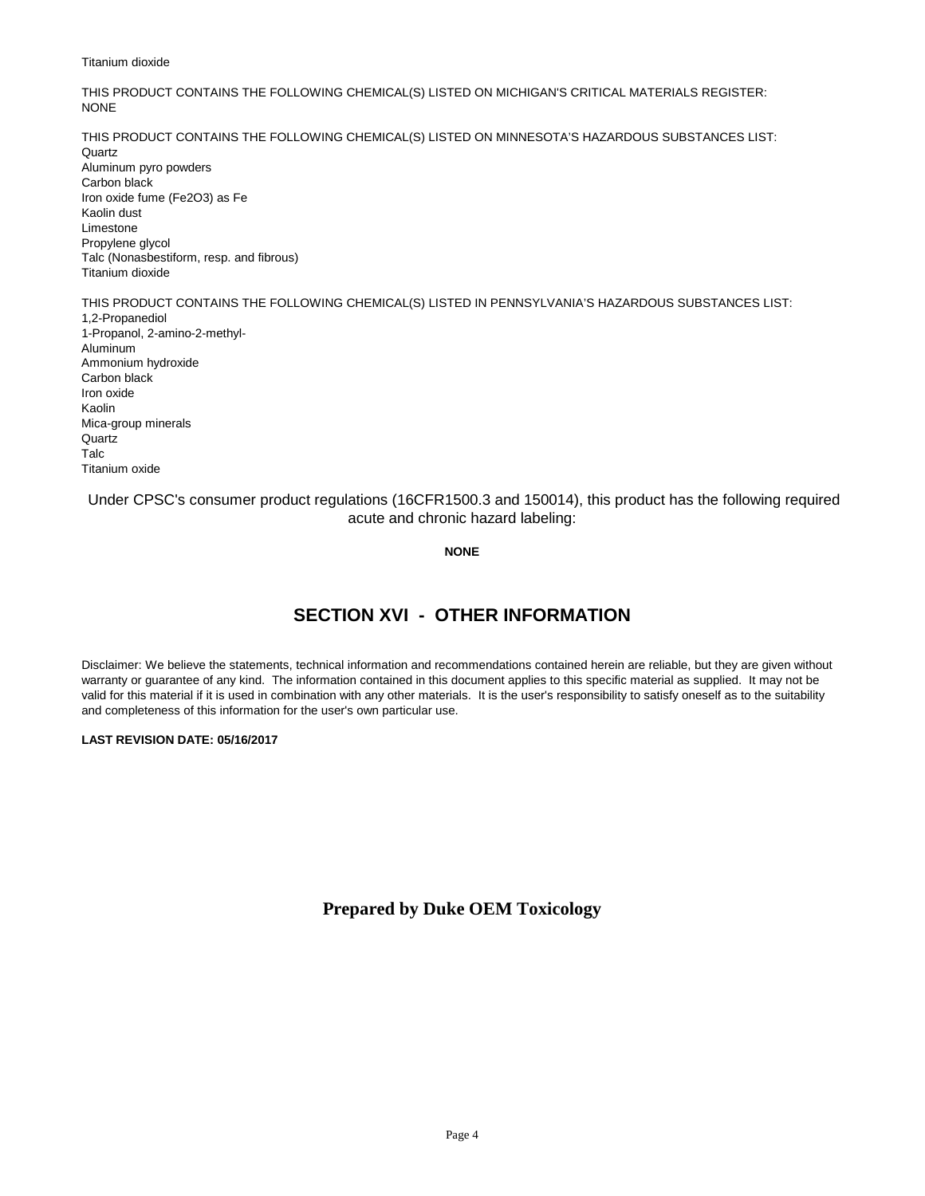#### Titanium dioxide

THIS PRODUCT CONTAINS THE FOLLOWING CHEMICAL(S) LISTED ON MICHIGAN'S CRITICAL MATERIALS REGISTER: NONE

THIS PRODUCT CONTAINS THE FOLLOWING CHEMICAL(S) LISTED ON MINNESOTA'S HAZARDOUS SUBSTANCES LIST: **Quartz** Aluminum pyro powders Carbon black Iron oxide fume (Fe2O3) as Fe Kaolin dust Limestone Propylene glycol Talc (Nonasbestiform, resp. and fibrous) Titanium dioxide

THIS PRODUCT CONTAINS THE FOLLOWING CHEMICAL(S) LISTED IN PENNSYLVANIA'S HAZARDOUS SUBSTANCES LIST:

1,2-Propanediol 1-Propanol, 2-amino-2-methyl-Aluminum Ammonium hydroxide Carbon black Iron oxide Kaolin Mica-group minerals **Quartz** Talc Titanium oxide

#### Under CPSC's consumer product regulations (16CFR1500.3 and 150014), this product has the following required acute and chronic hazard labeling:

#### **NONE**

# **SECTION XVI - OTHER INFORMATION**

Disclaimer: We believe the statements, technical information and recommendations contained herein are reliable, but they are given without warranty or guarantee of any kind. The information contained in this document applies to this specific material as supplied. It may not be valid for this material if it is used in combination with any other materials. It is the user's responsibility to satisfy oneself as to the suitability and completeness of this information for the user's own particular use.

#### **LAST REVISION DATE: 05/16/2017**

#### **Prepared by Duke OEM Toxicology**